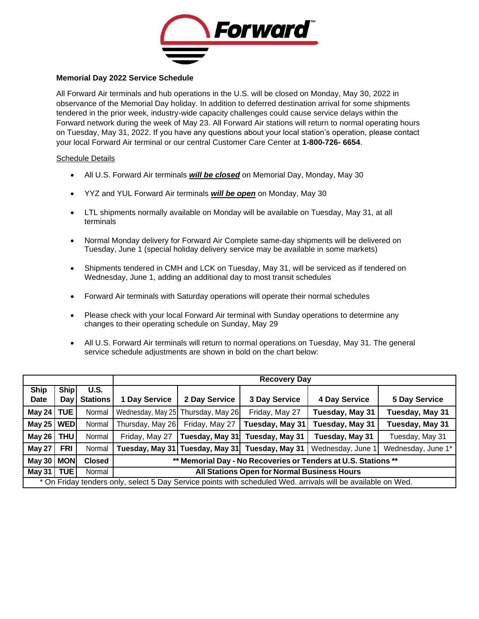

## **Memorial Day 2022 Service Schedule**

All Forward Air terminals and hub operations in the U.S. will be closed on Monday, May 30, 2022 in observance of the Memorial Day holiday. In addition to deferred destination arrival for some shipments tendered in the prior week, industry-wide capacity challenges could cause service delays within the Forward network during the week of May 23. All Forward Air stations will return to normal operating hours on Tuesday, May 31, 2022. If you have any questions about your local station's operation, please contact your local Forward Air terminal or our central Customer Care Center at **1-800-726- 6654**.

## Schedule Details

- All U.S. Forward Air terminals *will be closed* on Memorial Day, Monday, May 30
- YYZ and YUL Forward Air terminals *will be open* on Monday, May 30
- LTL shipments normally available on Monday will be available on Tuesday, May 31, at all terminals
- Normal Monday delivery for Forward Air Complete same-day shipments will be delivered on Tuesday, June 1 (special holiday delivery service may be available in some markets)
- Shipments tendered in CMH and LCK on Tuesday, May 31, will be serviced as if tendered on Wednesday, June 1, adding an additional day to most transit schedules
- Forward Air terminals with Saturday operations will operate their normal schedules
- Please check with your local Forward Air terminal with Sunday operations to determine any changes to their operating schedule on Sunday, May 29
- All U.S. Forward Air terminals will return to normal operations on Tuesday, May 31. The general service schedule adjustments are shown in bold on the chart below:

|                                                                                                              |             |                 | <b>Recovery Day</b>                                            |                                    |                 |                 |                      |
|--------------------------------------------------------------------------------------------------------------|-------------|-----------------|----------------------------------------------------------------|------------------------------------|-----------------|-----------------|----------------------|
| <b>Ship</b>                                                                                                  | <b>Ship</b> | U.S.            |                                                                |                                    |                 |                 |                      |
| Date                                                                                                         | Day         | <b>Stations</b> | 1 Day Service                                                  | 2 Day Service                      | 3 Day Service   | 4 Day Service   | <b>5 Day Service</b> |
| May 24 $ $                                                                                                   | <b>TUE</b>  | Normal          |                                                                | Wednesday, May 25 Thursday, May 26 | Friday, May 27  | Tuesday, May 31 | Tuesday, May 31      |
| <b>May 25</b>                                                                                                | <b>WED</b>  | Normal          | Thursday, May 26                                               | Friday, May 27                     | Tuesday, May 31 | Tuesday, May 31 | Tuesday, May 31      |
| May 26                                                                                                       | <b>THU</b>  | Normal          | Friday, May 27                                                 | Tuesday, May 31                    | Tuesday, May 31 | Tuesday, May 31 | Tuesday, May 31      |
| May 27                                                                                                       | <b>FRI</b>  | Normal          |                                                                | Tuesday, May 31   Tuesday, May 31  | Tuesday, May 31 | Wednesday, June | Wednesday, June 1*   |
| <b>May 30</b>                                                                                                | <b>MON</b>  | <b>Closed</b>   | ** Memorial Day - No Recoveries or Tenders at U.S. Stations ** |                                    |                 |                 |                      |
| <b>May 31</b>                                                                                                | <b>TUEI</b> | Normal          | All Stations Open for Normal Business Hours                    |                                    |                 |                 |                      |
| * On Friday tenders only, select 5 Day Service points with scheduled Wed. arrivals will be available on Wed. |             |                 |                                                                |                                    |                 |                 |                      |